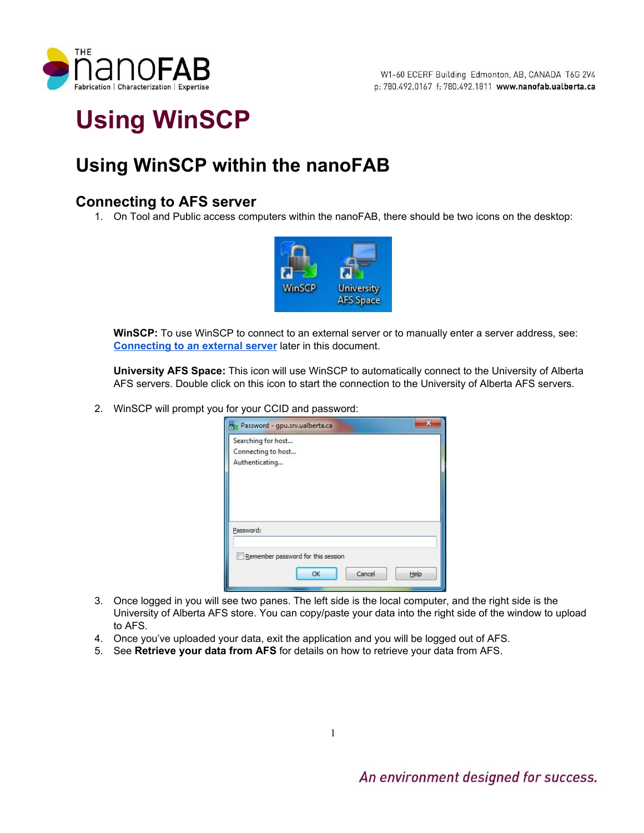

# **Using WinSCP**

# **Using WinSCP within the nanoFAB**

# **Connecting to AFS server**

1. On Tool and Public access computers within the nanoFAB, there should be two icons on the desktop:



**WinSCP:**To use WinSCP to connect to an external server or to manually enter a server address, see: **[Connecting](#page-1-0) to an external server**later in this document.

**University AFS Space:**This icon will use WinSCP to automatically connect to the University of Alberta AFS servers. Double click on this icon to start the connection to the University of Alberta AFS servers.

2. WinSCP will prompt you for your CCID and password:

| Password - gpu.srv.ualberta.ca     | 33 |
|------------------------------------|----|
| Searching for host                 |    |
| Connecting to host                 |    |
| Authenticating                     |    |
|                                    |    |
|                                    |    |
|                                    |    |
|                                    |    |
| Password:                          |    |
|                                    |    |
| Remember password for this session |    |
|                                    |    |
| Cancel<br>Help<br>OK               |    |
|                                    |    |

- 3. Once logged in you will see two panes. The left side is the local computer, and the right side is the University of Alberta AFS store. You can copy/paste your data into the right side of the window to upload to AFS.
- 4. Once you've uploaded your data, exit the application and you will be logged out of AFS.
- 5. See **Retrieve your data from AFS**for details on how to retrieve your data from AFS.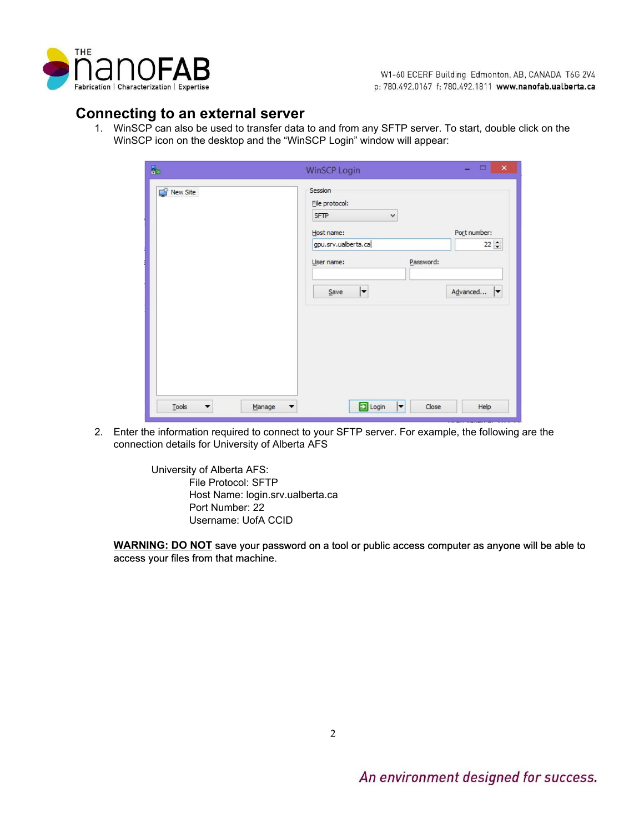

W1-60 ECERF Building Edmonton, AB, CANADA T6G 2V4 p: 780.492.0167 f: 780.492.1811 www.nanofab.ualberta.ca

# <span id="page-1-0"></span>**Connecting to an external server**

1. WinSCP can also be used to transfer data to and from any SFTP server. To start, double click on the WinSCP icon on the desktop and the "WinSCP Login" window will appear:

| New Site | Session<br>File protocol:   |                  |
|----------|-----------------------------|------------------|
|          | <b>SFTP</b><br>$\checkmark$ |                  |
|          | Host name:                  | Port number:     |
|          | gpu.srv.ualberta.ca         | $22 \frac{1}{7}$ |
|          | User name:                  | Password:        |
|          |                             |                  |
|          | $\vert \texttt{-}$<br>Save  | Advanced<br>⇂    |
|          |                             |                  |
|          |                             |                  |
|          |                             |                  |
|          |                             |                  |
|          |                             |                  |
|          |                             |                  |

2. Enter the information required to connect to your SFTP server. For example, the following are the connection details for University of Alberta AFS

> University of Alberta AFS: File Protocol: SFTP Host Name: login.srv.ualberta.ca Port Number: 22 Username: UofA CCID

**WARNING: DO NOT**save your password on a tool or public access computer as anyone will be able to access your files from that machine.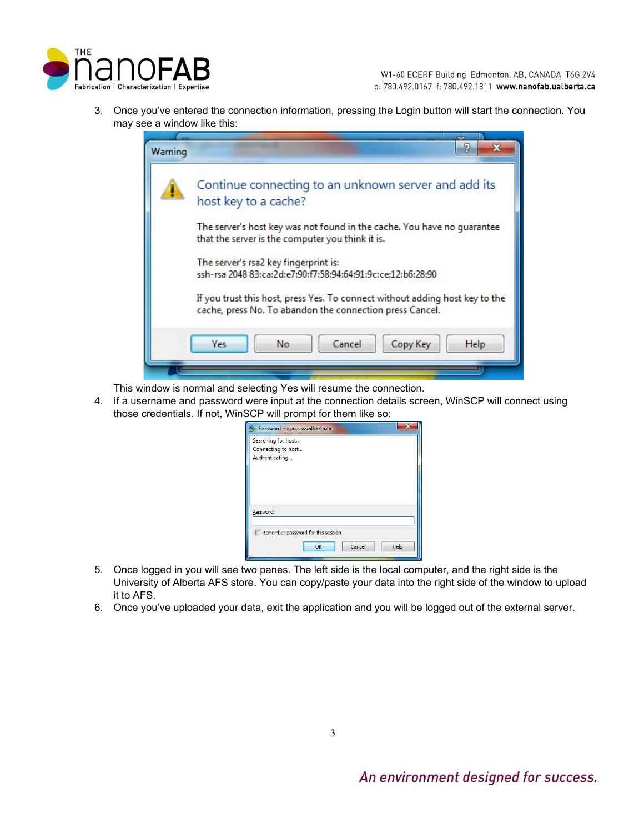

3. Once you've entered the connection information, pressing the Login button will start the connection. You may see a window like this:

| Warning | P<br>$\mathbf{x}$                                                                                                                        |
|---------|------------------------------------------------------------------------------------------------------------------------------------------|
|         | Continue connecting to an unknown server and add its<br>host key to a cache?                                                             |
|         | The server's host key was not found in the cache. You have no guarantee<br>that the server is the computer you think it is.              |
|         | The server's rsa2 key fingerprint is:<br>ssh-rsa 2048 83:ca:2d:e7:90:f7:58:94:64:91:9c:ce:12:b6:28:90                                    |
|         | If you trust this host, press Yes. To connect without adding host key to the<br>cache, press No. To abandon the connection press Cancel. |
|         | Cancel<br>No<br>Copy Key<br>Help<br>Yes                                                                                                  |
|         |                                                                                                                                          |

This window is normal and selecting Yes will resume the connection.

4. If a username and password were input at the connection details screen, WinSCP will connect using those credentials. If not, WinSCP will prompt for them like so:

| Searching for host |                                    |  |
|--------------------|------------------------------------|--|
| Connecting to host |                                    |  |
| Authenticating     |                                    |  |
|                    |                                    |  |
|                    |                                    |  |
|                    |                                    |  |
|                    |                                    |  |
|                    |                                    |  |
| Password:          |                                    |  |
|                    |                                    |  |
|                    | Remember password for this session |  |
|                    |                                    |  |

- 5. Once logged in you will see two panes. The left side is the local computer, and the right side is the University of Alberta AFS store. You can copy/paste your data into the right side of the window to upload it to AFS.
- 6. Once you've uploaded your data, exit the application and you will be logged out of the external server.